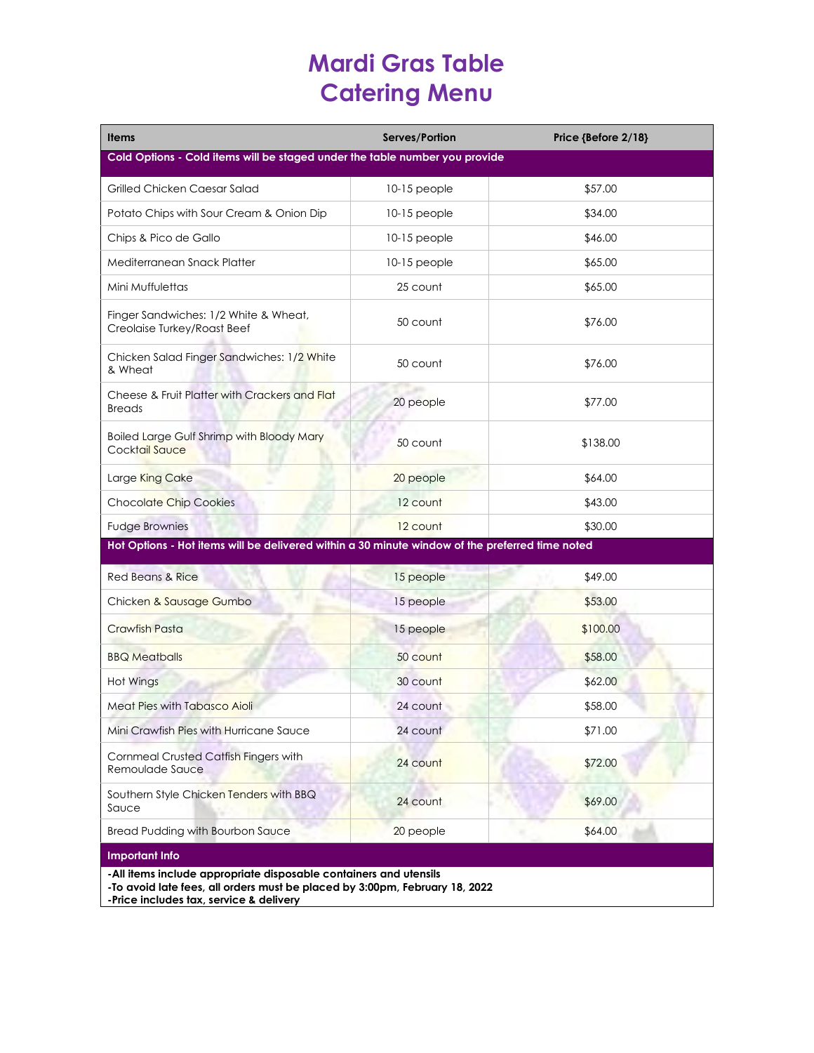# **Mardi Gras Table Catering Menu**

| <b>Items</b>                                                                                                                                                              | Serves/Portion | Price {Before 2/18} |  |
|---------------------------------------------------------------------------------------------------------------------------------------------------------------------------|----------------|---------------------|--|
| Cold Options - Cold items will be staged under the table number you provide                                                                                               |                |                     |  |
| Grilled Chicken Caesar Salad                                                                                                                                              | $10-15$ people | \$57.00             |  |
| Potato Chips with Sour Cream & Onion Dip                                                                                                                                  | 10-15 people   | \$34.00             |  |
| Chips & Pico de Gallo                                                                                                                                                     | $10-15$ people | \$46.00             |  |
| Mediterranean Snack Platter                                                                                                                                               | 10-15 people   | \$65.00             |  |
| Mini Muffulettas                                                                                                                                                          | 25 count       | \$65.00             |  |
| Finger Sandwiches: 1/2 White & Wheat,<br>Creolaise Turkey/Roast Beef                                                                                                      | 50 count       | \$76.00             |  |
| Chicken Salad Finger Sandwiches: 1/2 White<br>& Wheat                                                                                                                     | 50 count       | \$76.00             |  |
| Cheese & Fruit Platter with Crackers and Flat<br><b>Breads</b>                                                                                                            | 20 people      | \$77.00             |  |
| <b>Boiled Large Gulf Shrimp with Bloody Mary</b><br>Cocktail Sauce                                                                                                        | 50 count       | \$138.00            |  |
| Large King Cake                                                                                                                                                           | 20 people      | \$64.00             |  |
| <b>Chocolate Chip Cookies</b>                                                                                                                                             | 12 count       | \$43.00             |  |
| <b>Fudge Brownies</b>                                                                                                                                                     | 12 count       | \$30.00             |  |
| Hot Options - Hot items will be delivered within a 30 minute window of the preferred time noted                                                                           |                |                     |  |
| <b>Red Beans &amp; Rice</b>                                                                                                                                               | 15 people      | \$49.00             |  |
| Chicken & Sausage Gumbo                                                                                                                                                   | 15 people      | \$53.00             |  |
| <b>Crawfish Pasta</b>                                                                                                                                                     | 15 people      | \$100.00            |  |
| <b>BBQ Meatballs</b>                                                                                                                                                      | 50 count       | \$58.00             |  |
| Hot Wings                                                                                                                                                                 | 30 count       | \$62.00             |  |
| <b>Meat Pies with Tabasco Aioli</b>                                                                                                                                       | 24 count       | \$58.00             |  |
| Mini Crawfish Pies with Hurricane Sauce                                                                                                                                   | 24 count       | \$71.00             |  |
| Cornmeal Crusted Catfish Fingers with<br>Remoulade Sauce                                                                                                                  | 24 count       | \$72.00             |  |
| Southern Style Chicken Tenders with BBQ<br>Sauce                                                                                                                          | 24 count       | \$69.00             |  |
| <b>Bread Pudding with Bourbon Sauce</b>                                                                                                                                   | 20 people      | \$64.00             |  |
| <b>Important Info</b><br>-All items include appropriate disposable containers and utensils<br>-To avoid late fees, all orders must be placed by 3:00pm, February 18, 2022 |                |                     |  |

**-Price includes tax, service & delivery**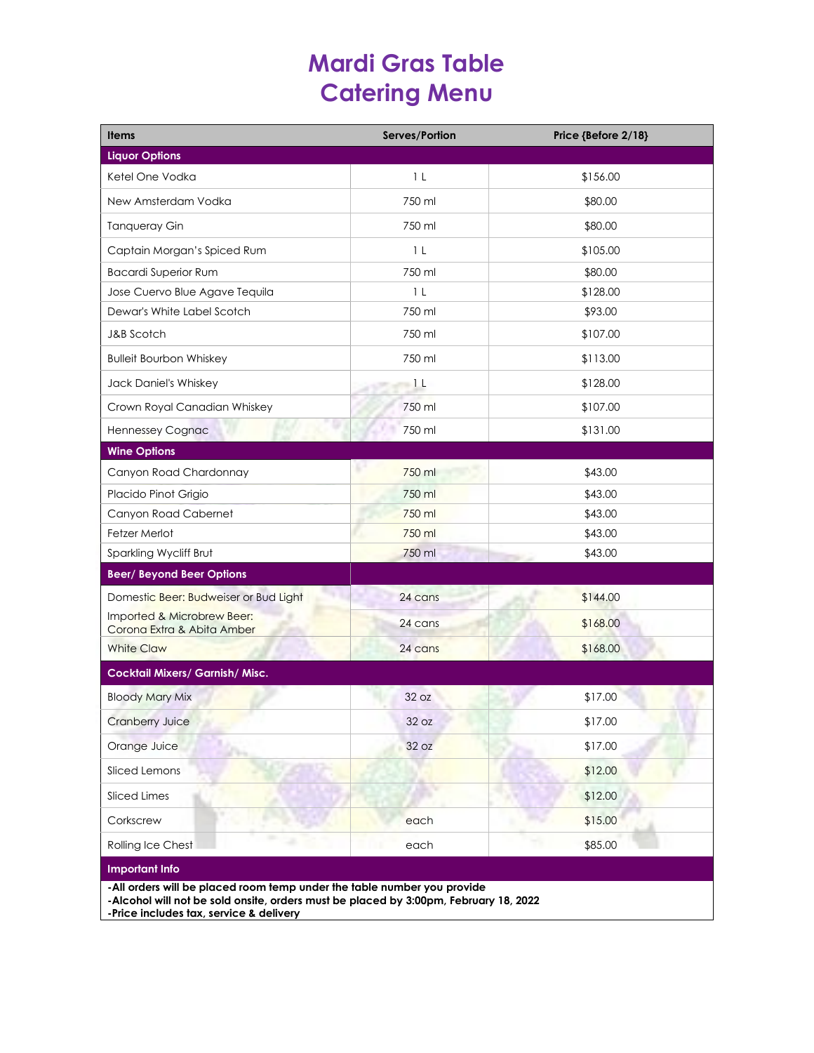# **Mardi Gras Table Catering Menu**

| <b>Items</b>                                                                                                                                                    | Serves/Portion | Price {Before 2/18} |
|-----------------------------------------------------------------------------------------------------------------------------------------------------------------|----------------|---------------------|
| <b>Liquor Options</b>                                                                                                                                           |                |                     |
| Ketel One Vodka                                                                                                                                                 | 1 <sub>L</sub> | \$156.00            |
| New Amsterdam Vodka                                                                                                                                             | 750 ml         | \$80.00             |
| <b>Tanqueray Gin</b>                                                                                                                                            | 750 ml         | \$80.00             |
| Captain Morgan's Spiced Rum                                                                                                                                     | 1 <sub>L</sub> | \$105.00            |
| <b>Bacardi Superior Rum</b>                                                                                                                                     | 750 ml         | \$80.00             |
| Jose Cuervo Blue Agave Tequila                                                                                                                                  | 1 <sub>L</sub> | \$128.00            |
| Dewar's White Label Scotch                                                                                                                                      | 750 ml         | \$93.00             |
| J&B Scotch                                                                                                                                                      | 750 ml         | \$107.00            |
| <b>Bulleit Bourbon Whiskey</b>                                                                                                                                  | 750 ml         | \$113.00            |
| Jack Daniel's Whiskey                                                                                                                                           | 1 <sub>L</sub> | \$128.00            |
| Crown Royal Canadian Whiskey                                                                                                                                    | 750 ml         | \$107.00            |
| <b>Hennessey Cognac</b>                                                                                                                                         | 750 ml         | \$131.00            |
| <b>Wine Options</b>                                                                                                                                             |                |                     |
| Canyon Road Chardonnay                                                                                                                                          | 750 ml         | \$43.00             |
| Placido Pinot Grigio                                                                                                                                            | 750 ml         | \$43.00             |
| Canyon Road Cabernet                                                                                                                                            | 750 ml         | \$43.00             |
| Fetzer Merlot                                                                                                                                                   | 750 ml         | \$43.00             |
| Sparkling Wycliff Brut                                                                                                                                          | 750 ml         | \$43.00             |
| <b>Beer/Beyond Beer Options</b>                                                                                                                                 |                |                     |
| Domestic Beer: Budweiser or Bud Light                                                                                                                           | 24 cans        | \$144.00            |
| Imported & Microbrew Beer:<br>Corona Extra & Abita Amber                                                                                                        | 24 cans        | \$168.00            |
| <b>White Claw</b>                                                                                                                                               | 24 cans        | \$168.00            |
| <b>Cocktail Mixers/ Garnish/ Misc.</b>                                                                                                                          |                |                     |
| <b>Bloody Mary Mix</b>                                                                                                                                          | 32 oz          | \$17.00             |
| Cranberry Juice                                                                                                                                                 | 32 oz          | \$17.00             |
| Orange Juice                                                                                                                                                    | 32 oz          | \$17.00             |
| Sliced Lemons                                                                                                                                                   |                | \$12.00             |
| Sliced Limes                                                                                                                                                    |                | \$12.00             |
| Corkscrew                                                                                                                                                       | each           | \$15.00             |
| Rolling Ice Chest                                                                                                                                               | each           | \$85.00             |
| <b>Important Info</b>                                                                                                                                           |                |                     |
| -All orders will be placed room temp under the table number you provide<br>-Alcohol will not be sold onsite, orders must be placed by 3:00pm, February 18, 2022 |                |                     |

**-Price includes tax, service & delivery**